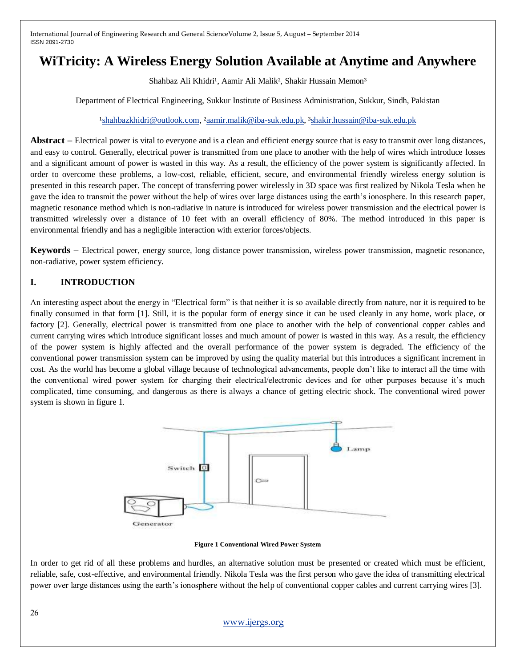# **WiTricity: A Wireless Energy Solution Available at Anytime and Anywhere**

Shahbaz Ali Khidri<sup>1</sup>, Aamir Ali Malik<sup>2</sup>, Shakir Hussain Memon<sup>3</sup>

Department of Electrical Engineering, Sukkur Institute of Business Administration, Sukkur, Sindh, Pakistan

#### <sup>1</sup>shahbazkhidri@outlook.com, <sup>2</sup>aamir.malik@iba-suk.edu.pk, <sup>3</sup>shakir.hussain@iba-suk.edu.pk

**Abstract –** Electrical power is vital to everyone and is a clean and efficient energy source that is easy to transmit over long distances, and easy to control. Generally, electrical power is transmitted from one place to another with the help of wires which introduce losses and a significant amount of power is wasted in this way. As a result, the efficiency of the power system is significantly affected. In order to overcome these problems, a low-cost, reliable, efficient, secure, and environmental friendly wireless energy solution is presented in this research paper. The concept of transferring power wirelessly in 3D space was first realized by Nikola Tesla when he gave the idea to transmit the power without the help of wires over large distances using the earth's ionosphere. In this research paper, magnetic resonance method which is non-radiative in nature is introduced for wireless power transmission and the electrical power is transmitted wirelessly over a distance of 10 feet with an overall efficiency of 80%. The method introduced in this paper is environmental friendly and has a negligible interaction with exterior forces/objects.

**Keywords –** Electrical power, energy source, long distance power transmission, wireless power transmission, magnetic resonance, non-radiative, power system efficiency.

# **I. INTRODUCTION**

An interesting aspect about the energy in "Electrical form" is that neither it is so available directly from nature, nor it is required to be finally consumed in that form [1]. Still, it is the popular form of energy since it can be used cleanly in any home, work place, or factory [2]. Generally, electrical power is transmitted from one place to another with the help of conventional copper cables and current carrying wires which introduce significant losses and much amount of power is wasted in this way. As a result, the efficiency of the power system is highly affected and the overall performance of the power system is degraded. The efficiency of the conventional power transmission system can be improved by using the quality material but this introduces a significant increment in cost. As the world has become a global village because of technological advancements, people don't like to interact all the time with the conventional wired power system for charging their electrical/electronic devices and for other purposes because it's much complicated, time consuming, and dangerous as there is always a chance of getting electric shock. The conventional wired power system is shown in figure 1.



**Figure 1 Conventional Wired Power System**

In order to get rid of all these problems and hurdles, an alternative solution must be presented or created which must be efficient, reliable, safe, cost-effective, and environmental friendly. Nikola Tesla was the first person who gave the idea of transmitting electrical power over large distances using the earth's ionosphere without the help of conventional copper cables and current carrying wires [3].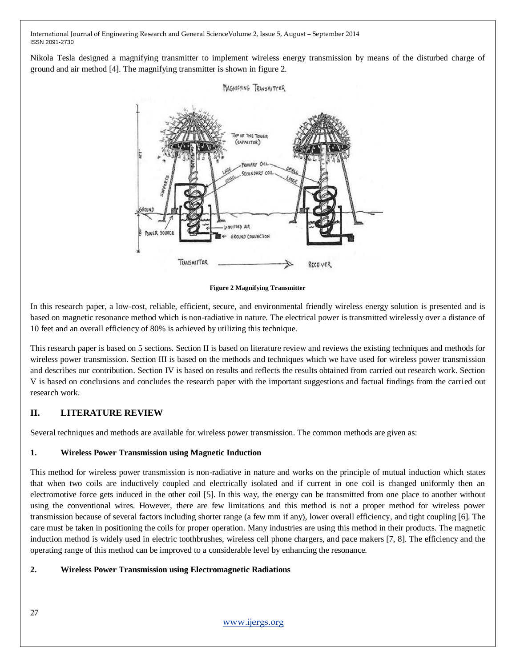Nikola Tesla designed a magnifying transmitter to implement wireless energy transmission by means of the disturbed charge of ground and air method [4]. The magnifying transmitter is shown in figure 2.



**Figure 2 Magnifying Transmitter**

In this research paper, a low-cost, reliable, efficient, secure, and environmental friendly wireless energy solution is presented and is based on magnetic resonance method which is non-radiative in nature. The electrical power is transmitted wirelessly over a distance of 10 feet and an overall efficiency of 80% is achieved by utilizing this technique.

This research paper is based on 5 sections. Section II is based on literature review and reviews the existing techniques and methods for wireless power transmission. Section III is based on the methods and techniques which we have used for wireless power transmission and describes our contribution. Section IV is based on results and reflects the results obtained from carried out research work. Section V is based on conclusions and concludes the research paper with the important suggestions and factual findings from the carried out research work.

# **II. LITERATURE REVIEW**

Several techniques and methods are available for wireless power transmission. The common methods are given as:

# **1. Wireless Power Transmission using Magnetic Induction**

This method for wireless power transmission is non-radiative in nature and works on the principle of mutual induction which states that when two coils are inductively coupled and electrically isolated and if current in one coil is changed uniformly then an electromotive force gets induced in the other coil [5]. In this way, the energy can be transmitted from one place to another without using the conventional wires. However, there are few limitations and this method is not a proper method for wireless power transmission because of several factors including shorter range (a few mm if any), lower overall efficiency, and tight coupling [6]. The care must be taken in positioning the coils for proper operation. Many industries are using this method in their products. The magnetic induction method is widely used in electric toothbrushes, wireless cell phone chargers, and pace makers [7, 8]. The efficiency and the operating range of this method can be improved to a considerable level by enhancing the resonance.

# **2. Wireless Power Transmission using Electromagnetic Radiations**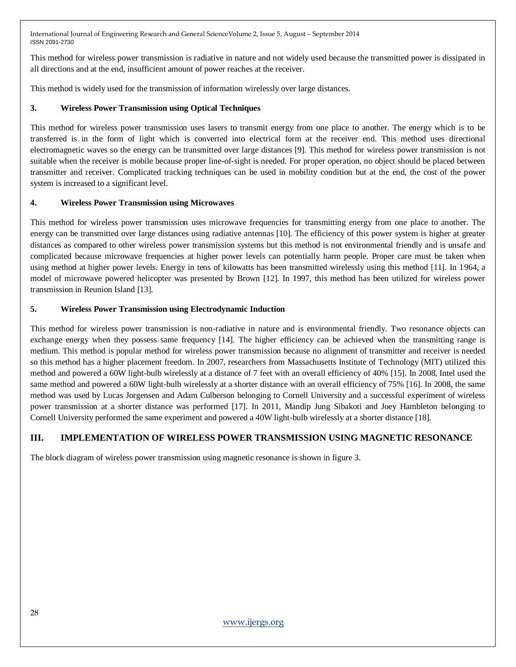This method for wireless power transmission is radiative in nature and not widely used because the transmitted power is dissipated in all directions and at the end, insufficient amount of power reaches at the receiver.

This method is widely used for the transmission of information wirelessly over large distances.

# **3. Wireless Power Transmission using Optical Techniques**

This method for wireless power transmission uses lasers to transmit energy from one place to another. The energy which is to be transferred is in the form of light which is converted into electrical form at the receiver end. This method uses directional electromagnetic waves so the energy can be transmitted over large distances [9]. This method for wireless power transmission is not suitable when the receiver is mobile because proper line-of-sight is needed. For proper operation, no object should be placed between transmitter and receiver. Complicated tracking techniques can be used in mobility condition but at the end, the cost of the power system is increased to a significant level.

#### **4. Wireless Power Transmission using Microwaves**

This method for wireless power transmission uses microwave frequencies for transmitting energy from one place to another. The energy can be transmitted over large distances using radiative antennas [10]. The efficiency of this power system is higher at greater distances as compared to other wireless power transmission systems but this method is not environmental friendly and is unsafe and complicated because microwave frequencies at higher power levels can potentially harm people. Proper care must be taken when using method at higher power levels. Energy in tens of kilowatts has been transmitted wirelessly using this method [11]. In 1964, a model of microwave powered helicopter was presented by Brown [12]. In 1997, this method has been utilized for wireless power transmission in Reunion Island [13].

#### **5. Wireless Power Transmission using Electrodynamic Induction**

This method for wireless power transmission is non-radiative in nature and is environmental friendly. Two resonance objects can exchange energy when they possess same frequency [14]. The higher efficiency can be achieved when the transmitting range is medium. This method is popular method for wireless power transmission because no alignment of transmitter and receiver is needed so this method has a higher placement freedom. In 2007, researchers from Massachusetts Institute of Technology (MIT) utilized this method and powered a 60W light-bulb wirelessly at a distance of 7 feet with an overall efficiency of 40% [15]. In 2008, Intel used the same method and powered a 60W light-bulb wirelessly at a shorter distance with an overall efficiency of 75% [16]. In 2008, the same method was used by Lucas Jorgensen and Adam Culberson belonging to Cornell University and a successful experiment of wireless power transmission at a shorter distance was performed [17]. In 2011, Mandip Jung Sibakoti and Joey Hambleton belonging to Cornell University performed the same experiment and powered a 40W light-bulb wirelessly at a shorter distance [18].

# **III. IMPLEMENTATION OF WIRELESS POWER TRANSMISSION USING MAGNETIC RESONANCE**

The block diagram of wireless power transmission using magnetic resonance is shown in figure 3.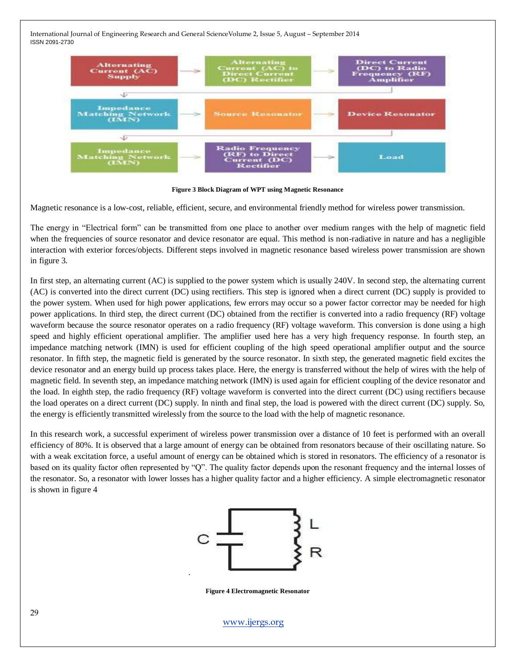

**Figure 3 Block Diagram of WPT using Magnetic Resonance**

Magnetic resonance is a low-cost, reliable, efficient, secure, and environmental friendly method for wireless power transmission.

The energy in "Electrical form" can be transmitted from one place to another over medium ranges with the help of magnetic field when the frequencies of source resonator and device resonator are equal. This method is non-radiative in nature and has a negligible interaction with exterior forces/objects. Different steps involved in magnetic resonance based wireless power transmission are shown in figure 3.

In first step, an alternating current (AC) is supplied to the power system which is usually 240V. In second step, the alternating current (AC) is converted into the direct current (DC) using rectifiers. This step is ignored when a direct current (DC) supply is provided to the power system. When used for high power applications, few errors may occur so a power factor corrector may be needed for high power applications. In third step, the direct current (DC) obtained from the rectifier is converted into a radio frequency (RF) voltage waveform because the source resonator operates on a radio frequency (RF) voltage waveform. This conversion is done using a high speed and highly efficient operational amplifier. The amplifier used here has a very high frequency response. In fourth step, an impedance matching network (IMN) is used for efficient coupling of the high speed operational amplifier output and the source resonator. In fifth step, the magnetic field is generated by the source resonator. In sixth step, the generated magnetic field excites the device resonator and an energy build up process takes place. Here, the energy is transferred without the help of wires with the help of magnetic field. In seventh step, an impedance matching network (IMN) is used again for efficient coupling of the device resonator and the load. In eighth step, the radio frequency (RF) voltage waveform is converted into the direct current (DC) using rectifiers because the load operates on a direct current (DC) supply. In ninth and final step, the load is powered with the direct current (DC) supply. So, the energy is efficiently transmitted wirelessly from the source to the load with the help of magnetic resonance.

In this research work, a successful experiment of wireless power transmission over a distance of 10 feet is performed with an overall efficiency of 80%. It is observed that a large amount of energy can be obtained from resonators because of their oscillating nature. So with a weak excitation force, a useful amount of energy can be obtained which is stored in resonators. The efficiency of a resonator is based on its quality factor often represented by "Q". The quality factor depends upon the resonant frequency and the internal losses of the resonator. So, a resonator with lower losses has a higher quality factor and a higher efficiency. A simple electromagnetic resonator is shown in figure 4



**Figure 4 Electromagnetic Resonator**

.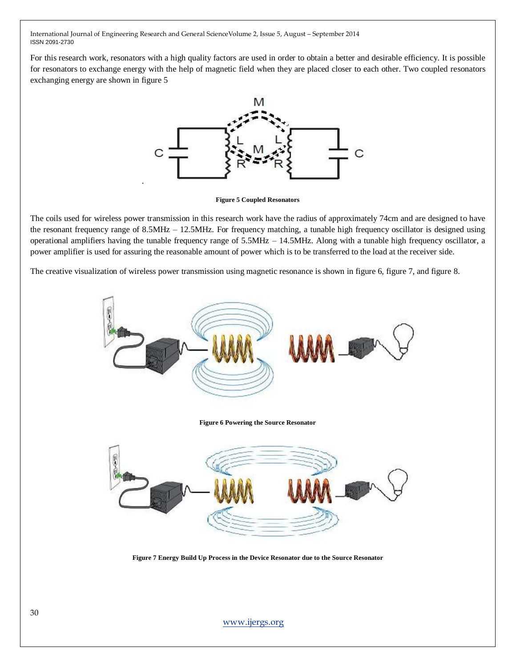For this research work, resonators with a high quality factors are used in order to obtain a better and desirable efficiency. It is possible for resonators to exchange energy with the help of magnetic field when they are placed closer to each other. Two coupled resonators exchanging energy are shown in figure 5



**Figure 5 Coupled Resonators**

The coils used for wireless power transmission in this research work have the radius of approximately 74cm and are designed to have the resonant frequency range of 8.5MHz – 12.5MHz. For frequency matching, a tunable high frequency oscillator is designed using operational amplifiers having the tunable frequency range of 5.5MHz – 14.5MHz. Along with a tunable high frequency oscillator, a power amplifier is used for assuring the reasonable amount of power which is to be transferred to the load at the receiver side.

The creative visualization of wireless power transmission using magnetic resonance is shown in figure 6, figure 7, and figure 8.



**Figure 7 Energy Build Up Process in the Device Resonator due to the Source Resonator**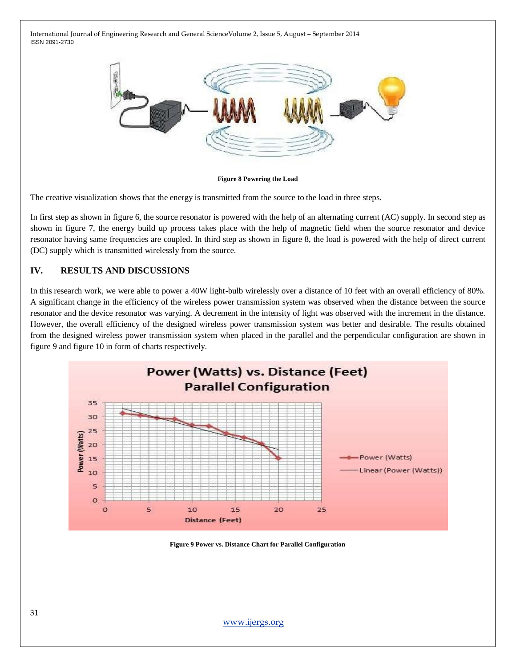

**Figure 8 Powering the Load**

The creative visualization shows that the energy is transmitted from the source to the load in three steps.

In first step as shown in figure 6, the source resonator is powered with the help of an alternating current (AC) supply. In second step as shown in figure 7, the energy build up process takes place with the help of magnetic field when the source resonator and device resonator having same frequencies are coupled. In third step as shown in figure 8, the load is powered with the help of direct current (DC) supply which is transmitted wirelessly from the source.

#### **IV. RESULTS AND DISCUSSIONS**

In this research work, we were able to power a 40W light-bulb wirelessly over a distance of 10 feet with an overall efficiency of 80%. A significant change in the efficiency of the wireless power transmission system was observed when the distance between the source resonator and the device resonator was varying. A decrement in the intensity of light was observed with the increment in the distance. However, the overall efficiency of the designed wireless power transmission system was better and desirable. The results obtained from the designed wireless power transmission system when placed in the parallel and the perpendicular configuration are shown in figure 9 and figure 10 in form of charts respectively.



**Figure 9 Power vs. Distance Chart for Parallel Configuration**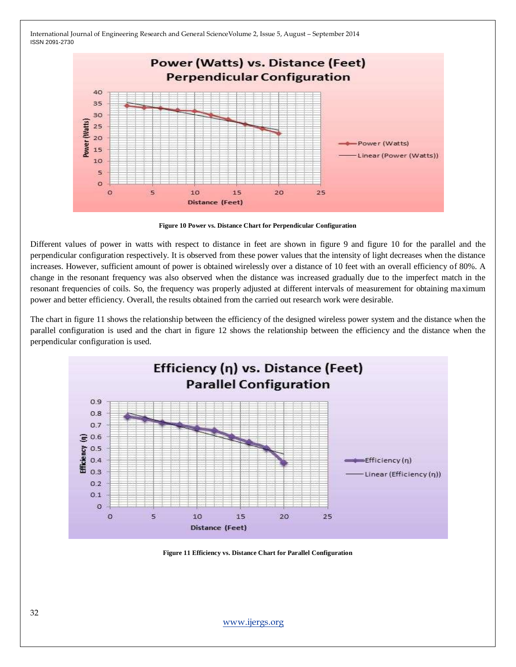

**Figure 10 Power vs. Distance Chart for Perpendicular Configuration**

Different values of power in watts with respect to distance in feet are shown in figure 9 and figure 10 for the parallel and the perpendicular configuration respectively. It is observed from these power values that the intensity of light decreases when the distance increases. However, sufficient amount of power is obtained wirelessly over a distance of 10 feet with an overall efficiency of 80%. A change in the resonant frequency was also observed when the distance was increased gradually due to the imperfect match in the resonant frequencies of coils. So, the frequency was properly adjusted at different intervals of measurement for obtaining maximum power and better efficiency. Overall, the results obtained from the carried out research work were desirable.

The chart in figure 11 shows the relationship between the efficiency of the designed wireless power system and the distance when the parallel configuration is used and the chart in figure 12 shows the relationship between the efficiency and the distance when the perpendicular configuration is used.



**Figure 11 Efficiency vs. Distance Chart for Parallel Configuration**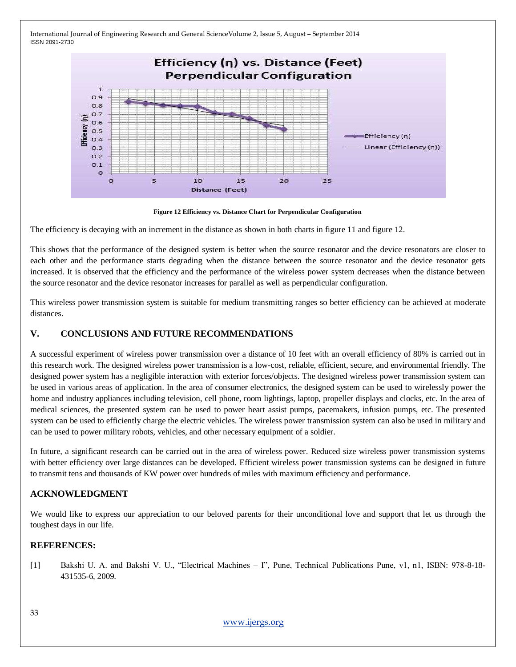

**Figure 12 Efficiency vs. Distance Chart for Perpendicular Configuration**

The efficiency is decaying with an increment in the distance as shown in both charts in figure 11 and figure 12.

This shows that the performance of the designed system is better when the source resonator and the device resonators are closer to each other and the performance starts degrading when the distance between the source resonator and the device resonator gets increased. It is observed that the efficiency and the performance of the wireless power system decreases when the distance between the source resonator and the device resonator increases for parallel as well as perpendicular configuration.

This wireless power transmission system is suitable for medium transmitting ranges so better efficiency can be achieved at moderate distances.

# **V. CONCLUSIONS AND FUTURE RECOMMENDATIONS**

A successful experiment of wireless power transmission over a distance of 10 feet with an overall efficiency of 80% is carried out in this research work. The designed wireless power transmission is a low-cost, reliable, efficient, secure, and environmental friendly. The designed power system has a negligible interaction with exterior forces/objects. The designed wireless power transmission system can be used in various areas of application. In the area of consumer electronics, the designed system can be used to wirelessly power the home and industry appliances including television, cell phone, room lightings, laptop, propeller displays and clocks, etc. In the area of medical sciences, the presented system can be used to power heart assist pumps, pacemakers, infusion pumps, etc. The presented system can be used to efficiently charge the electric vehicles. The wireless power transmission system can also be used in military and can be used to power military robots, vehicles, and other necessary equipment of a soldier.

In future, a significant research can be carried out in the area of wireless power. Reduced size wireless power transmission systems with better efficiency over large distances can be developed. Efficient wireless power transmission systems can be designed in future to transmit tens and thousands of KW power over hundreds of miles with maximum efficiency and performance.

# **ACKNOWLEDGMENT**

We would like to express our appreciation to our beloved parents for their unconditional love and support that let us through the toughest days in our life.

#### **REFERENCES:**

[1] Bakshi U. A. and Bakshi V. U., "Electrical Machines – I", Pune, Technical Publications Pune, v1, n1, ISBN: 978-8-18- 431535-6, 2009.